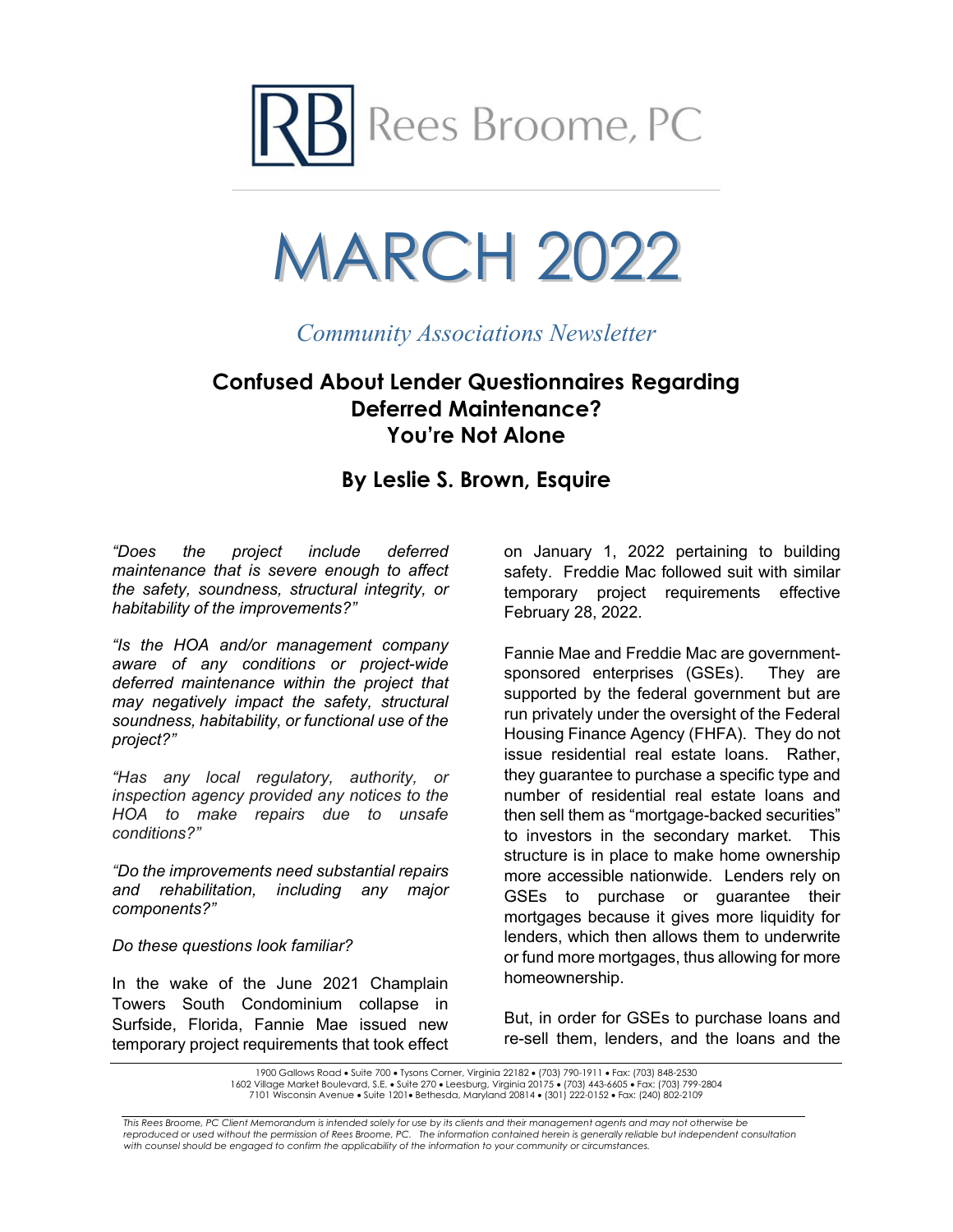



*Community Associations Newsletter*

# **Confused About Lender Questionnaires Regarding Deferred Maintenance? You're Not Alone**

## **By Leslie S. Brown, Esquire**

*"Does the project include deferred maintenance that is severe enough to affect the safety, soundness, structural integrity, or habitability of the improvements?"*

*"Is the HOA and/or management company aware of any conditions or project-wide deferred maintenance within the project that may negatively impact the safety, structural soundness, habitability, or functional use of the project?"*

*"Has any local regulatory, authority, or inspection agency provided any notices to the HOA to make repairs due to unsafe conditions?"*

*"Do the improvements need substantial repairs and rehabilitation, including any major components?"*

*Do these questions look familiar?*

In the wake of the June 2021 Champlain Towers South Condominium collapse in Surfside, Florida, Fannie Mae issued new temporary project requirements that took effect

on January 1, 2022 pertaining to building safety. Freddie Mac followed suit with similar temporary project requirements effective February 28, 2022.

Fannie Mae and Freddie Mac are governmentsponsored enterprises (GSEs). They are supported by the federal government but are run privately under the oversight of the Federal Housing Finance Agency (FHFA). They do not issue residential real estate loans. Rather, they guarantee to purchase a specific type and number of residential real estate loans and then sell them as "mortgage-backed securities" to investors in the secondary market. This structure is in place to make home ownership more accessible nationwide. Lenders rely on GSEs to purchase or guarantee their mortgages because it gives more liquidity for lenders, which then allows them to underwrite or fund more mortgages, thus allowing for more homeownership.

But, in order for GSEs to purchase loans and re-sell them, lenders, and the loans and the

<sup>1900</sup> Gallows Road • Suite 700 • Tysons Corner, Virginia 22182 • (703) 790-1911 • Fax: (703) 848-2530 1602 Village Market Boulevard, S.E. • Suite 270 • Leesburg, Virginia 20175 • (703) 443-6605 • Fax: (703) 799-2804 7101 Wisconsin Avenue • Suite 1201• Bethesda, Maryland 20814 • (301) 222-0152 • Fax: (240) 802-2109

*This Rees Broome, PC Client Memorandum is intended solely for use by its clients and their management agents and may not otherwise be*  reproduced or used without the permission of Rees Broome, PC. The information contained herein is generally reliable but independent consultation *with counsel should be engaged to confirm the applicability of the information to your community or circumstances.*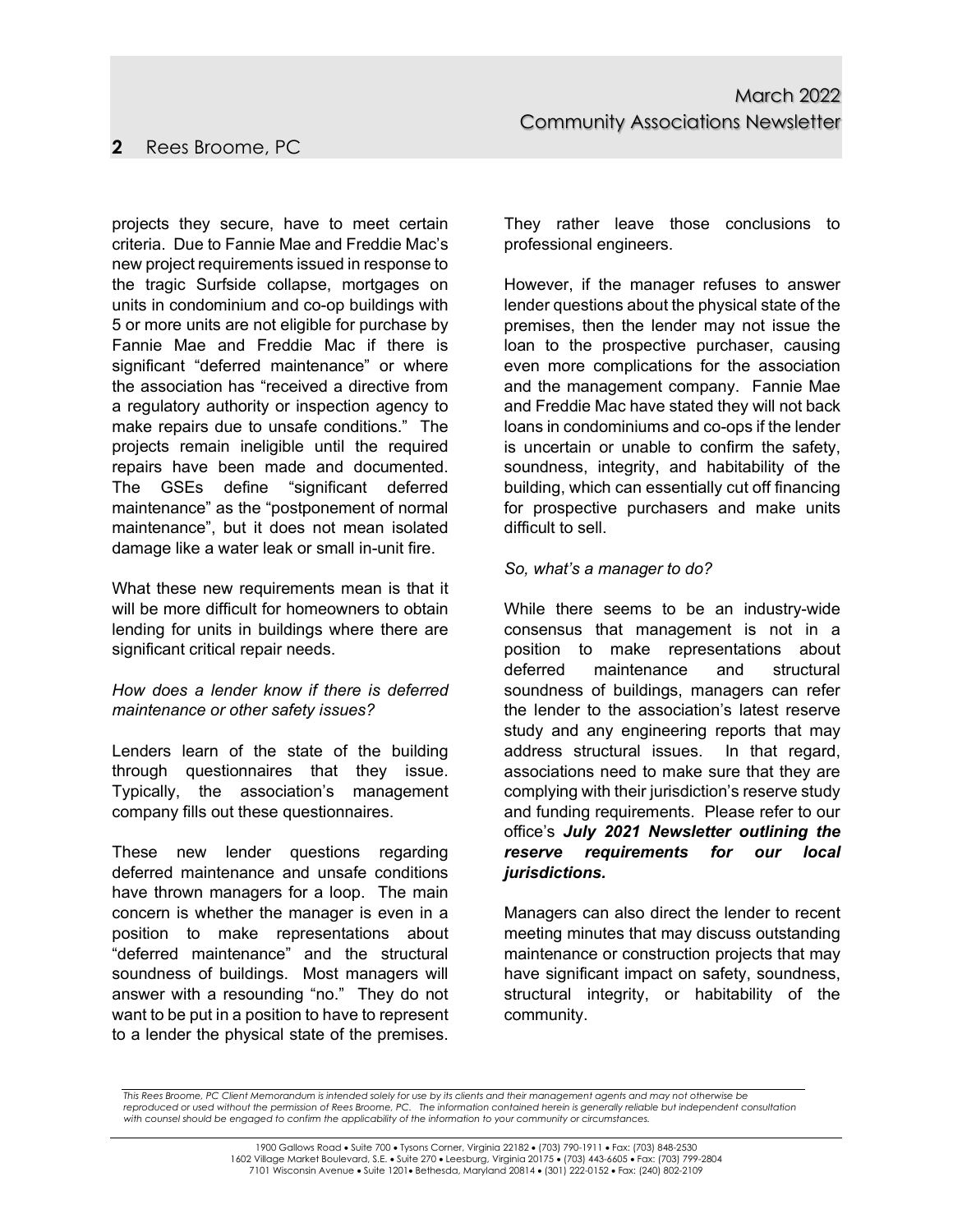## **2** Rees Broome, PC

projects they secure, have to meet certain criteria. Due to Fannie Mae and Freddie Mac's new project requirements issued in response to the tragic Surfside collapse, mortgages on units in condominium and co-op buildings with 5 or more units are not eligible for purchase by Fannie Mae and Freddie Mac if there is significant "deferred maintenance" or where the association has "received a directive from a regulatory authority or inspection agency to make repairs due to unsafe conditions." The projects remain ineligible until the required repairs have been made and documented. The GSEs define "significant deferred maintenance" as the "postponement of normal maintenance", but it does not mean isolated damage like a water leak or small in-unit fire.

What these new requirements mean is that it will be more difficult for homeowners to obtain lending for units in buildings where there are significant critical repair needs.

#### *How does a lender know if there is deferred maintenance or other safety issues?*

Lenders learn of the state of the building through questionnaires that they issue. Typically, the association's management company fills out these questionnaires.

These new lender questions regarding deferred maintenance and unsafe conditions have thrown managers for a loop. The main concern is whether the manager is even in a position to make representations about "deferred maintenance" and the structural soundness of buildings. Most managers will answer with a resounding "no." They do not want to be put in a position to have to represent to a lender the physical state of the premises.

They rather leave those conclusions to professional engineers.

However, if the manager refuses to answer lender questions about the physical state of the premises, then the lender may not issue the loan to the prospective purchaser, causing even more complications for the association and the management company. Fannie Mae and Freddie Mac have stated they will not back loans in condominiums and co-ops if the lender is uncertain or unable to confirm the safety, soundness, integrity, and habitability of the building, which can essentially cut off financing for prospective purchasers and make units difficult to sell.

#### *So, what's a manager to do?*

While there seems to be an industry-wide consensus that management is not in a position to make representations about deferred maintenance and structural soundness of buildings, managers can refer the lender to the association's latest reserve study and any engineering reports that may address structural issues. In that regard, associations need to make sure that they are complying with their jurisdiction's reserve study and funding requirements. Please refer to our office's *July 2021 Newsletter outlining the reserve requirements for our local jurisdictions.*

Managers can also direct the lender to recent meeting minutes that may discuss outstanding maintenance or construction projects that may have significant impact on safety, soundness, structural integrity, or habitability of the community.

*This Rees Broome, PC Client Memorandum is intended solely for use by its clients and their management agents and may not otherwise be*  reproduced or used without the permission of Rees Broome, PC. The information contained herein is generally reliable but independent consultation *with counsel should be engaged to confirm the applicability of the information to your community or circumstances.*